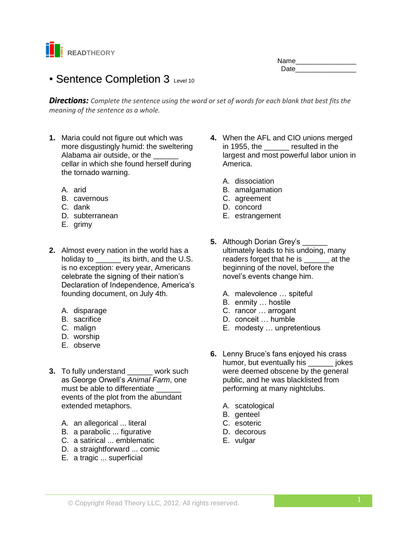

## Name\_\_\_\_\_\_\_\_\_\_\_\_\_\_\_\_ Date **Date**

# • Sentence Completion 3 Level 10

*Directions: Complete the sentence using the word or set of words for each blank that best fits the meaning of the sentence as a whole.*

- **1.** Maria could not figure out which was more disgustingly humid: the sweltering Alabama air outside, or the cellar in which she found herself during the tornado warning.
	- A. arid
	- B. cavernous
	- C. dank
	- D. subterranean
	- E. grimy
- **2.** Almost every nation in the world has a holiday to \_\_\_\_\_\_\_ its birth, and the U.S. is no exception: every year, Americans celebrate the signing of their nation's Declaration of Independence, America's founding document, on July 4th.
	- A. disparage
	- B. sacrifice
	- C. malign
	- D. worship
	- E. observe
- **3.** To fully understand \_\_\_\_\_\_ work such as George Orwell's *Animal Farm*, one must be able to differentiate events of the plot from the abundant extended metaphors.
	- A. an allegorical ... literal
	- B. a parabolic ... figurative
	- C. a satirical ... emblematic
	- D. a straightforward ... comic
	- E. a tragic ... superficial
- **4.** When the AFL and CIO unions merged in 1955, the resulted in the largest and most powerful labor union in America.
	- A. dissociation
	- B. amalgamation
	- C. agreement
	- D. concord
	- E. estrangement
- **5.** Although Dorian Grey's ultimately leads to his undoing, many readers forget that he is \_\_\_\_\_\_ at the beginning of the novel, before the novel's events change him.
	- A. malevolence … spiteful
	- B. enmity … hostile
	- C. rancor … arrogant
	- D. conceit … humble
	- E. modesty … unpretentious
- **6.** Lenny Bruce's fans enjoyed his crass humor, but eventually his **bullet** jokes were deemed obscene by the general public, and he was blacklisted from performing at many nightclubs.
	- A. scatological
	- B. genteel
	- C. esoteric
	- D. decorous
	- E. vulgar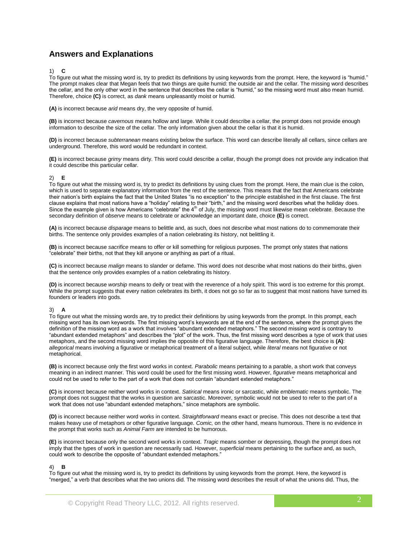# **Answers and Explanations**

1) **C**

To figure out what the missing word is, try to predict its definitions by using keywords from the prompt. Here, the keyword is "humid." The prompt makes clear that Megan feels that two things are quite humid: the outside air and the cellar. The missing word describes the cellar, and the only other word in the sentence that describes the cellar is "humid," so the missing word must also mean humid. Therefore, choice **(C)** is correct, as *dank* means unpleasantly moist or humid.

**(A)** is incorrect because *arid* means dry, the very opposite of humid.

**(B)** is incorrect because *cavernous* means hollow and large. While it could describe a cellar, the prompt does not provide enough information to describe the size of the cellar. The only information given about the cellar is that it is humid.

**(D)** is incorrect because *subterranean* means existing below the surface. This word can describe literally all cellars, since cellars are underground. Therefore, this word would be redundant in context.

**(E)** is incorrect because *grimy* means dirty. This word could describe a cellar, though the prompt does not provide any indication that it could describe this particular cellar.

## 2) **E**

To figure out what the missing word is, try to predict its definitions by using clues from the prompt. Here, the main clue is the colon, which is used to separate explanatory information from the rest of the sentence. This means that the fact that Americans celebrate their nation's birth explains the fact that the United States "is no exception" to the principle established in the first clause. The first clause explains that most nations have a "holiday" relating to their "birth," and the missing word describes what the holiday does. Since the example given is how Americans "celebrate" the  $4<sup>th</sup>$  of July, the missing word must likewise mean celebrate. Because the secondary definition of *observe* means to celebrate or acknowledge an important date, choice **(E)** is correct.

**(A)** is incorrect because *disparage* means to belittle and, as such, does not describe what most nations do to commemorate their births. The sentence only provides examples of a nation celebrating its history, not belittling it.

**(B)** is incorrect because *sacrifice* means to offer or kill something for religious purposes. The prompt only states that nations "celebrate" their births, not that they kill anyone or anything as part of a ritual.

**(C)** is incorrect because *malign* means to slander or defame. This word does not describe what most nations do their births, given that the sentence only provides examples of a nation celebrating its history.

**(D)** is incorrect because *worship* means to deify or treat with the reverence of a holy spirit. This word is too extreme for this prompt. While the prompt suggests that every nation celebrates its birth, it does not go so far as to suggest that most nations have turned its founders or leaders into gods.

#### 3) **A**

To figure out what the missing words are, try to predict their definitions by using keywords from the prompt. In this prompt, each missing word has its own keywords. The first missing word's keywords are at the end of the sentence, where the prompt gives the definition of the missing word as a work that involves "abundant extended metaphors." The second missing word is contrary to "abundant extended metaphors" and describes the "plot" of the work. Thus, the first missing word describes a type of work that uses metaphors, and the second missing word implies the opposite of this figurative language. Therefore, the best choice is **(A)**: *allegorical* means involving a figurative or metaphorical treatment of a literal subject, while *literal* means not figurative or not metaphorical.

**(B)** is incorrect because only the first word works in context. *Parabolic* means pertaining to a parable, a short work that conveys meaning in an indirect manner. This word could be used for the first missing word. However, *figurative* means metaphorical and could not be used to refer to the part of a work that does not contain "abundant extended metaphors."

**(C)** is incorrect because neither word works in context. *Satirical* means ironic or sarcastic, while *emblematic* means symbolic. The prompt does not suggest that the works in question are sarcastic. Moreover, symbolic would not be used to refer to the part of a work that does not use "abundant extended metaphors," since metaphors are symbolic.

**(D)** is incorrect because neither word works in context. *Straightforward* means exact or precise. This does not describe a text that makes heavy use of metaphors or other figurative language. *Comic,* on the other hand, means humorous. There is no evidence in the prompt that works such as *Animal Farm* are intended to be humorous.

**(E)** is incorrect because only the second word works in context. *Tragic* means somber or depressing, though the prompt does not imply that the types of work in question are necessarily sad. However, *superficial* means pertaining to the surface and, as such, could work to describe the opposite of "abundant extended metaphors."

#### 4) **B**

To figure out what the missing word is, try to predict its definitions by using keywords from the prompt. Here, the keyword is "merged," a verb that describes what the two unions did. The missing word describes the result of what the unions did. Thus, the